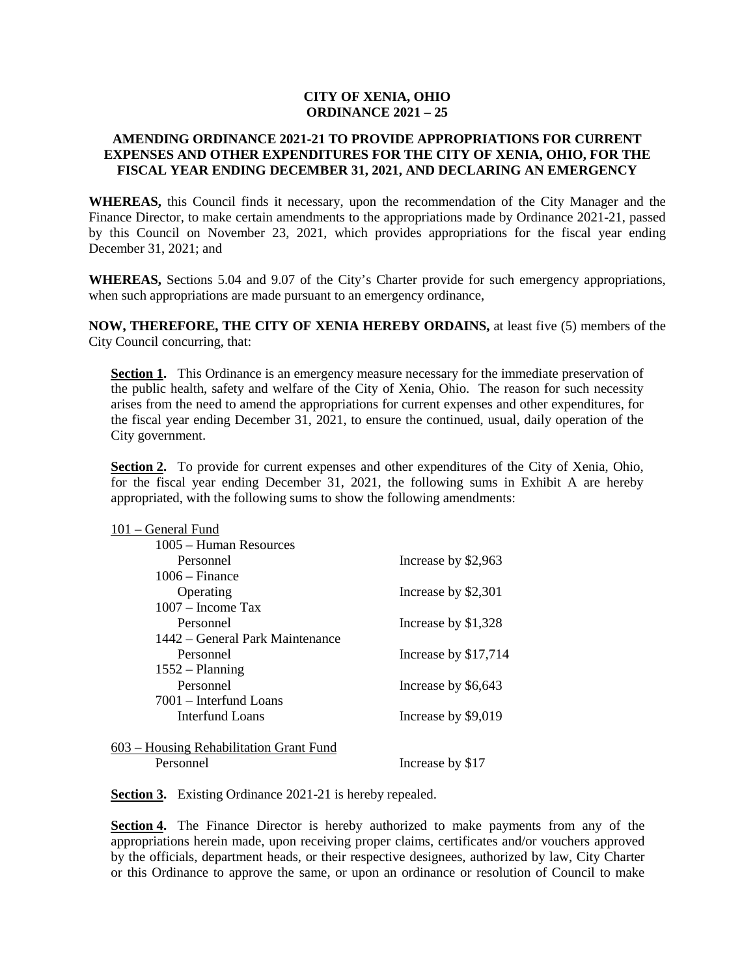## **CITY OF XENIA, OHIO ORDINANCE 2021 – 25**

## **AMENDING ORDINANCE 2021-21 TO PROVIDE APPROPRIATIONS FOR CURRENT EXPENSES AND OTHER EXPENDITURES FOR THE CITY OF XENIA, OHIO, FOR THE FISCAL YEAR ENDING DECEMBER 31, 2021, AND DECLARING AN EMERGENCY**

**WHEREAS,** this Council finds it necessary, upon the recommendation of the City Manager and the Finance Director, to make certain amendments to the appropriations made by Ordinance 2021-21, passed by this Council on November 23, 2021, which provides appropriations for the fiscal year ending December 31, 2021; and

**WHEREAS,** Sections 5.04 and 9.07 of the City's Charter provide for such emergency appropriations, when such appropriations are made pursuant to an emergency ordinance,

**NOW, THEREFORE, THE CITY OF XENIA HEREBY ORDAINS,** at least five (5) members of the City Council concurring, that:

**Section 1.** This Ordinance is an emergency measure necessary for the immediate preservation of the public health, safety and welfare of the City of Xenia, Ohio. The reason for such necessity arises from the need to amend the appropriations for current expenses and other expenditures, for the fiscal year ending December 31, 2021, to ensure the continued, usual, daily operation of the City government.

**Section 2.** To provide for current expenses and other expenditures of the City of Xenia, Ohio, for the fiscal year ending December 31, 2021, the following sums in Exhibit A are hereby appropriated, with the following sums to show the following amendments:

| 101 – General Fund                      |                      |
|-----------------------------------------|----------------------|
| 1005 – Human Resources                  |                      |
| Personnel                               | Increase by \$2,963  |
| $1006 - Finance$                        |                      |
| Operating                               | Increase by \$2,301  |
| $1007 -$ Income Tax                     |                      |
| Personnel                               | Increase by \$1,328  |
| 1442 – General Park Maintenance         |                      |
| Personnel                               | Increase by \$17,714 |
| $1552 - Planning$                       |                      |
| Personnel                               | Increase by \$6,643  |
| 7001 - Interfund Loans                  |                      |
| Interfund Loans                         | Increase by \$9,019  |
|                                         |                      |
| 603 – Housing Rehabilitation Grant Fund |                      |
| Personnel                               | Increase by \$17     |

**Section 3.** Existing Ordinance 2021-21 is hereby repealed.

**Section 4.** The Finance Director is hereby authorized to make payments from any of the appropriations herein made, upon receiving proper claims, certificates and/or vouchers approved by the officials, department heads, or their respective designees, authorized by law, City Charter or this Ordinance to approve the same, or upon an ordinance or resolution of Council to make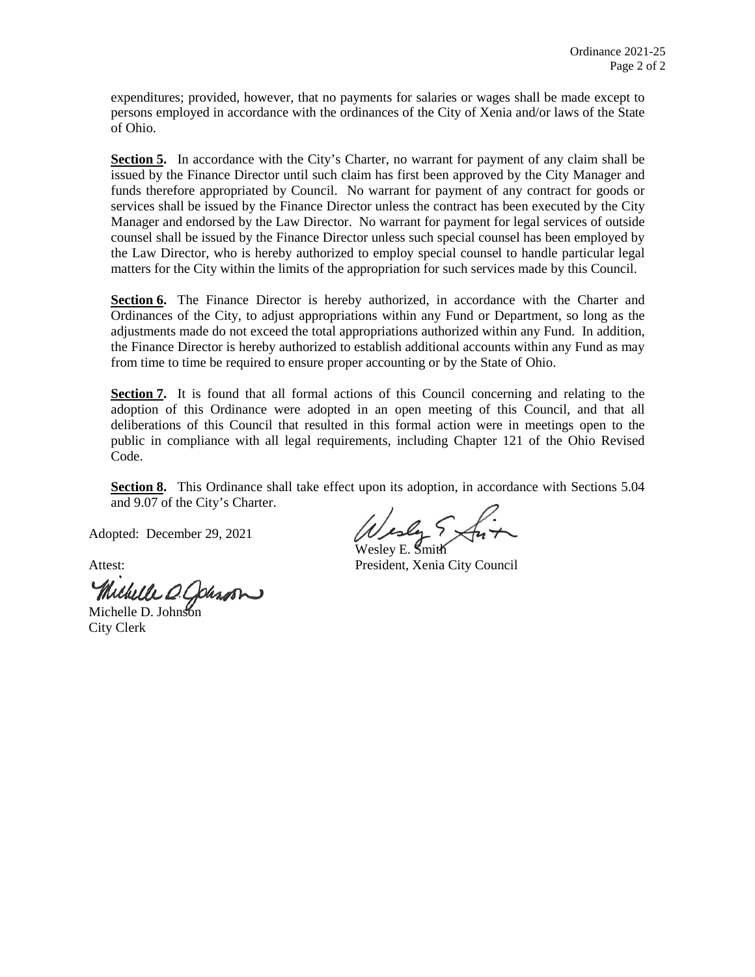expenditures; provided, however, that no payments for salaries or wages shall be made except to persons employed in accordance with the ordinances of the City of Xenia and/or laws of the State of Ohio.

**Section 5.** In accordance with the City's Charter, no warrant for payment of any claim shall be issued by the Finance Director until such claim has first been approved by the City Manager and funds therefore appropriated by Council. No warrant for payment of any contract for goods or services shall be issued by the Finance Director unless the contract has been executed by the City Manager and endorsed by the Law Director. No warrant for payment for legal services of outside counsel shall be issued by the Finance Director unless such special counsel has been employed by the Law Director, who is hereby authorized to employ special counsel to handle particular legal matters for the City within the limits of the appropriation for such services made by this Council.

**Section 6.** The Finance Director is hereby authorized, in accordance with the Charter and Ordinances of the City, to adjust appropriations within any Fund or Department, so long as the adjustments made do not exceed the total appropriations authorized within any Fund. In addition, the Finance Director is hereby authorized to establish additional accounts within any Fund as may from time to time be required to ensure proper accounting or by the State of Ohio.

**Section 7.** It is found that all formal actions of this Council concerning and relating to the adoption of this Ordinance were adopted in an open meeting of this Council, and that all deliberations of this Council that resulted in this formal action were in meetings open to the public in compliance with all legal requirements, including Chapter 121 of the Ohio Revised Code.

**Section 8.** This Ordinance shall take effect upon its adoption, in accordance with Sections 5.04 and 9.07 of the City's Charter.

Adopted: December 29, 2021

Michelle O. Johnson

City Clerk

Wesley E. Smith

Attest: President, Xenia City Council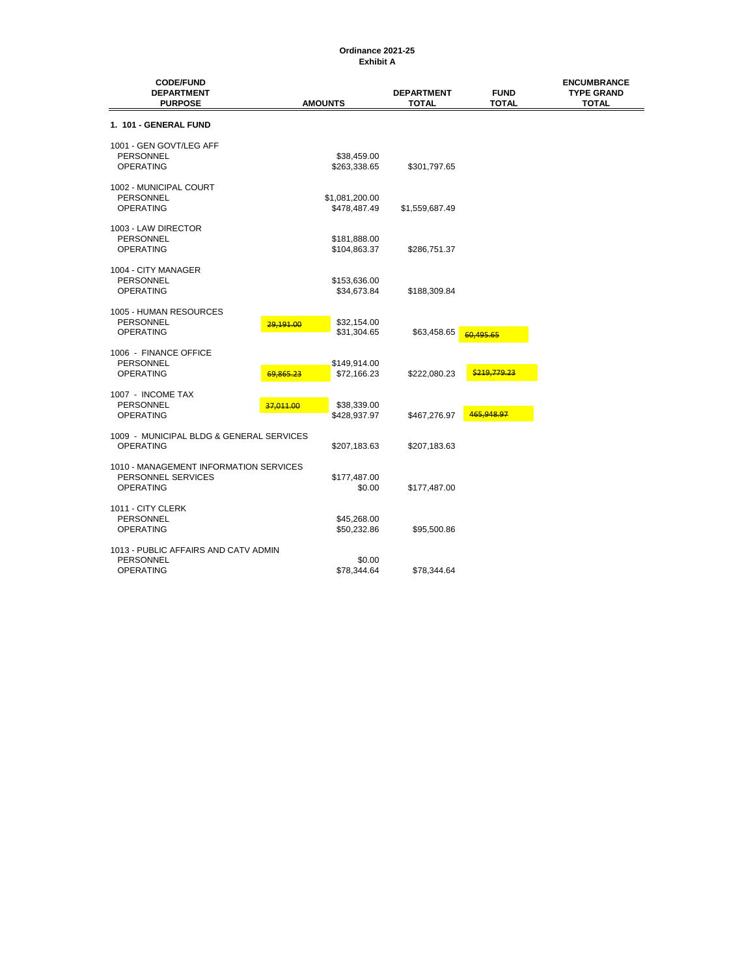## **Exhibit A Ordinance 2021-25**

| <b>CODE/FUND</b><br><b>DEPARTMENT</b><br><b>PURPOSE</b> |           | <b>AMOUNTS</b> | <b>DEPARTMENT</b><br><b>TOTAL</b> | <b>FUND</b><br><b>TOTAL</b> | <b>ENCUMBRANCE</b><br><b>TYPE GRAND</b><br><b>TOTAL</b> |
|---------------------------------------------------------|-----------|----------------|-----------------------------------|-----------------------------|---------------------------------------------------------|
| 1. 101 - GENERAL FUND                                   |           |                |                                   |                             |                                                         |
| 1001 - GEN GOVT/LEG AFF                                 |           |                |                                   |                             |                                                         |
| <b>PERSONNEL</b>                                        |           | \$38,459.00    |                                   |                             |                                                         |
| <b>OPERATING</b>                                        |           | \$263,338.65   | \$301,797.65                      |                             |                                                         |
| 1002 - MUNICIPAL COURT                                  |           |                |                                   |                             |                                                         |
| <b>PERSONNEL</b>                                        |           | \$1,081,200.00 |                                   |                             |                                                         |
| <b>OPERATING</b>                                        |           | \$478,487.49   | \$1,559,687.49                    |                             |                                                         |
| 1003 - LAW DIRECTOR                                     |           |                |                                   |                             |                                                         |
| PERSONNEL                                               |           | \$181,888.00   |                                   |                             |                                                         |
| <b>OPERATING</b>                                        |           | \$104,863.37   | \$286,751.37                      |                             |                                                         |
| 1004 - CITY MANAGER                                     |           |                |                                   |                             |                                                         |
| <b>PERSONNEL</b>                                        |           | \$153,636.00   |                                   |                             |                                                         |
| OPERATING                                               |           | \$34,673.84    | \$188,309.84                      |                             |                                                         |
| 1005 - HUMAN RESOURCES                                  |           |                |                                   |                             |                                                         |
| <b>PERSONNEL</b>                                        | 29.191.00 | \$32,154.00    |                                   |                             |                                                         |
| <b>OPERATING</b>                                        |           | \$31,304.65    | \$63,458.65                       | 60.495.65                   |                                                         |
| 1006 - FINANCE OFFICE                                   |           |                |                                   |                             |                                                         |
| <b>PERSONNEL</b>                                        |           | \$149,914.00   |                                   |                             |                                                         |
| <b>OPERATING</b>                                        | 69.865.23 | \$72,166.23    | \$222,080.23                      | \$219,779.23                |                                                         |
| 1007 - INCOME TAX                                       |           |                |                                   |                             |                                                         |
| <b>PERSONNEL</b>                                        | 37,011.00 | \$38,339.00    |                                   |                             |                                                         |
| <b>OPERATING</b>                                        |           | \$428,937.97   | \$467,276.97                      | 465,948.97                  |                                                         |
| 1009 - MUNICIPAL BLDG & GENERAL SERVICES                |           |                |                                   |                             |                                                         |
| <b>OPERATING</b>                                        |           | \$207,183.63   | \$207,183.63                      |                             |                                                         |
| 1010 - MANAGEMENT INFORMATION SERVICES                  |           |                |                                   |                             |                                                         |
| PERSONNEL SERVICES                                      |           | \$177,487.00   |                                   |                             |                                                         |
| <b>OPERATING</b>                                        |           | \$0.00         | \$177,487.00                      |                             |                                                         |
| 1011 - CITY CLERK                                       |           |                |                                   |                             |                                                         |
| <b>PERSONNEL</b>                                        |           | \$45,268.00    |                                   |                             |                                                         |
| <b>OPERATING</b>                                        |           | \$50,232.86    | \$95,500.86                       |                             |                                                         |
| 1013 - PUBLIC AFFAIRS AND CATV ADMIN                    |           |                |                                   |                             |                                                         |
| <b>PERSONNEL</b>                                        |           | \$0.00         |                                   |                             |                                                         |
| <b>OPERATING</b>                                        |           | \$78,344.64    | \$78,344.64                       |                             |                                                         |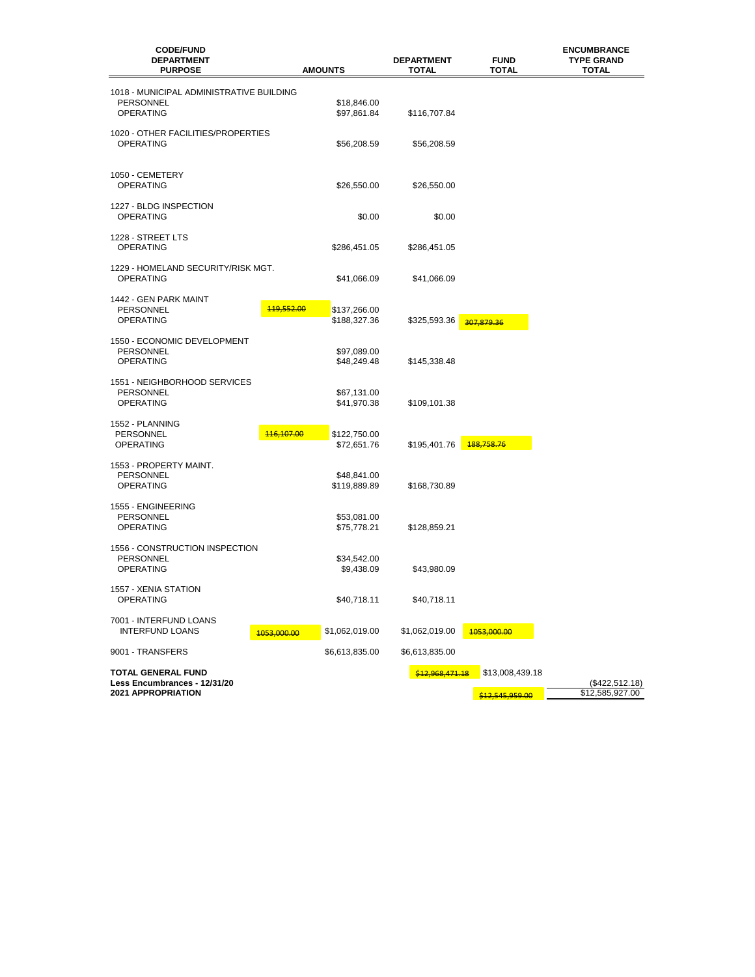| <b>CODE/FUND</b><br><b>DEPARTMENT</b><br><b>PURPOSE</b>                         | <b>AMOUNTS</b>               | <b>DEPARTMENT</b><br>TOTAL | <b>FUND</b><br>TOTAL               | <b>ENCUMBRANCE</b><br><b>TYPE GRAND</b><br>TOTAL |
|---------------------------------------------------------------------------------|------------------------------|----------------------------|------------------------------------|--------------------------------------------------|
|                                                                                 |                              |                            |                                    |                                                  |
| 1018 - MUNICIPAL ADMINISTRATIVE BUILDING<br>PERSONNEL<br><b>OPERATING</b>       | \$18,846.00<br>\$97,861.84   | \$116,707.84               |                                    |                                                  |
| 1020 - OTHER FACILITIES/PROPERTIES<br>OPERATING                                 | \$56,208.59                  | \$56,208.59                |                                    |                                                  |
| 1050 - CEMETERY<br><b>OPERATING</b>                                             | \$26,550.00                  | \$26,550.00                |                                    |                                                  |
| 1227 - BLDG INSPECTION<br><b>OPERATING</b>                                      | \$0.00                       | \$0.00                     |                                    |                                                  |
| 1228 - STREET LTS<br>OPERATING                                                  | \$286,451.05                 | \$286,451.05               |                                    |                                                  |
| 1229 - HOMELAND SECURITY/RISK MGT.<br>OPERATING                                 | \$41,066.09                  | \$41,066.09                |                                    |                                                  |
| 1442 - GEN PARK MAINT<br>119,552.00<br><b>PERSONNEL</b><br><b>OPERATING</b>     | \$137,266.00<br>\$188,327.36 | \$325,593.36               | 307,879.36                         |                                                  |
| 1550 - ECONOMIC DEVELOPMENT<br>PERSONNEL<br><b>OPERATING</b>                    | \$97,089.00<br>\$48,249.48   | \$145,338.48               |                                    |                                                  |
| 1551 - NEIGHBORHOOD SERVICES<br>PERSONNEL<br><b>OPERATING</b>                   | \$67,131.00<br>\$41,970.38   | \$109,101.38               |                                    |                                                  |
| 1552 - PLANNING<br>116,107.00<br><b>PERSONNEL</b><br><b>OPERATING</b>           | \$122,750.00<br>\$72,651.76  | \$195,401.76               | 188,758.76                         |                                                  |
| 1553 - PROPERTY MAINT.<br>PERSONNEL<br><b>OPERATING</b>                         | \$48,841.00<br>\$119,889.89  | \$168,730.89               |                                    |                                                  |
| 1555 - ENGINEERING<br>PERSONNEL<br><b>OPERATING</b>                             | \$53,081.00<br>\$75,778.21   | \$128,859.21               |                                    |                                                  |
| 1556 - CONSTRUCTION INSPECTION<br><b>PERSONNEL</b><br>OPERATING                 | \$34,542.00<br>\$9,438.09    | \$43,980.09                |                                    |                                                  |
| 1557 - XENIA STATION<br>OPERATING                                               | \$40,718.11                  | \$40,718.11                |                                    |                                                  |
| 7001 - INTERFUND LOANS<br><b>INTERFUND LOANS</b><br>1053,000.00                 | \$1,062,019.00               | \$1,062,019.00             | 1053,000.00                        |                                                  |
| 9001 - TRANSFERS                                                                | \$6,613,835.00               | \$6,613,835.00             |                                    |                                                  |
| <b>TOTAL GENERAL FUND</b><br>Less Encumbrances - 12/31/20<br>2021 APPROPRIATION |                              | \$12,968,471.18            | \$13,008,439.18<br>\$12,545,959.00 | (\$422,512.18)<br>\$12,585,927.00                |
|                                                                                 |                              |                            |                                    |                                                  |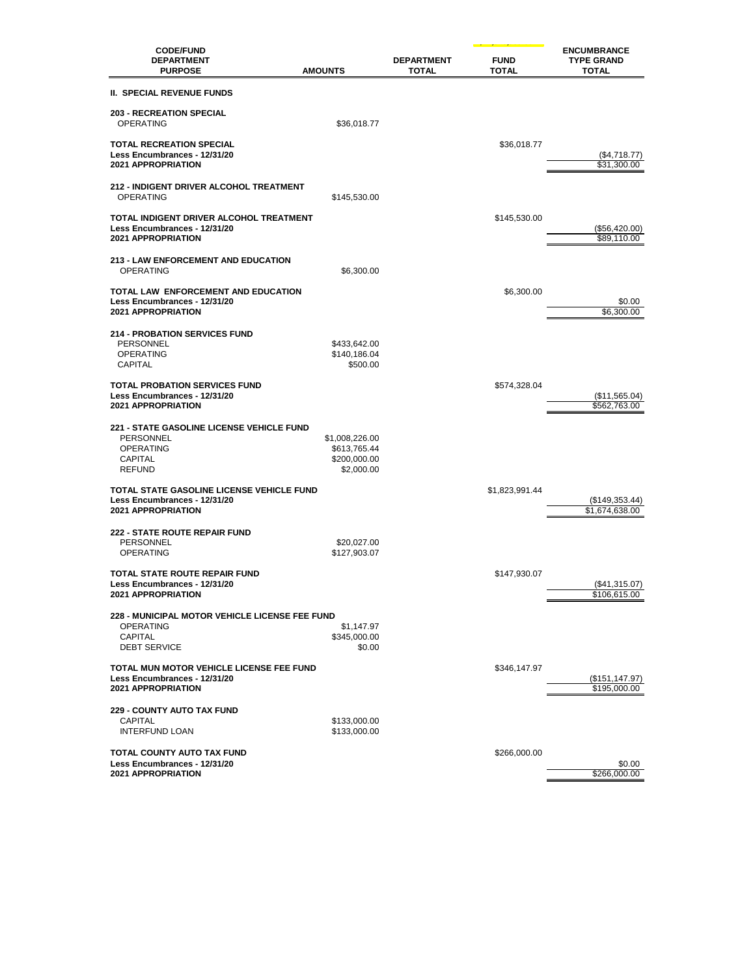| <b>CODE/FUND</b><br><b>DEPARTMENT</b><br><b>PURPOSE</b>                                                            | <b>AMOUNTS</b>                                               | <b>DEPARTMENT</b><br><b>TOTAL</b> | <b>FUND</b><br><b>TOTAL</b> | <b>ENCUMBRANCE</b><br><b>TYPE GRAND</b><br><b>TOTAL</b> |
|--------------------------------------------------------------------------------------------------------------------|--------------------------------------------------------------|-----------------------------------|-----------------------------|---------------------------------------------------------|
| <b>II. SPECIAL REVENUE FUNDS</b>                                                                                   |                                                              |                                   |                             |                                                         |
| <b>203 - RECREATION SPECIAL</b><br><b>OPERATING</b>                                                                | \$36,018.77                                                  |                                   |                             |                                                         |
| <b>TOTAL RECREATION SPECIAL</b><br>Less Encumbrances - 12/31/20<br><b>2021 APPROPRIATION</b>                       |                                                              |                                   | \$36,018.77                 | $(\$4,718.77)$<br>\$31,300.00                           |
| <b>212 - INDIGENT DRIVER ALCOHOL TREATMENT</b><br><b>OPERATING</b>                                                 | \$145,530.00                                                 |                                   |                             |                                                         |
| TOTAL INDIGENT DRIVER ALCOHOL TREATMENT<br>Less Encumbrances - 12/31/20<br><b>2021 APPROPRIATION</b>               |                                                              |                                   | \$145,530.00                | (\$56,420.00)<br>\$89,110.00                            |
| <b>213 - LAW ENFORCEMENT AND EDUCATION</b><br><b>OPERATING</b>                                                     | \$6,300.00                                                   |                                   |                             |                                                         |
| TOTAL LAW ENFORCEMENT AND EDUCATION<br>Less Encumbrances - 12/31/20<br>2021 APPROPRIATION                          |                                                              |                                   | \$6,300.00                  | \$0.00<br>\$6,300.00                                    |
| <b>214 - PROBATION SERVICES FUND</b><br>PERSONNEL<br><b>OPERATING</b><br>CAPITAL                                   | \$433,642.00<br>\$140,186.04<br>\$500.00                     |                                   |                             |                                                         |
| <b>TOTAL PROBATION SERVICES FUND</b><br>Less Encumbrances - 12/31/20<br>2021 APPROPRIATION                         |                                                              |                                   | \$574,328.04                | (\$11,565.04)<br>\$562,763.00                           |
| 221 - STATE GASOLINE LICENSE VEHICLE FUND<br>PERSONNEL<br><b>OPERATING</b><br>CAPITAL<br><b>REFUND</b>             | \$1,008,226.00<br>\$613,765.44<br>\$200,000.00<br>\$2,000.00 |                                   |                             |                                                         |
| TOTAL STATE GASOLINE LICENSE VEHICLE FUND<br>Less Encumbrances - 12/31/20<br>2021 APPROPRIATION                    |                                                              |                                   | \$1,823,991.44              | (\$149,353.44)<br>\$1,674,638.00                        |
| <b>222 - STATE ROUTE REPAIR FUND</b><br>PERSONNEL<br><b>OPERATING</b>                                              | \$20,027.00<br>\$127,903.07                                  |                                   |                             |                                                         |
| <b>TOTAL STATE ROUTE REPAIR FUND</b><br>Less Encumbrances - 12/31/20<br><b>2021 APPROPRIATION</b>                  |                                                              |                                   | \$147,930.07                | (\$41,315.07)<br>\$106,615.00                           |
| <b>228 - MUNICIPAL MOTOR VEHICLE LICENSE FEE FUND</b><br><b>OPERATING</b><br><b>CAPITAL</b><br><b>DEBT SERVICE</b> | \$1,147.97<br>\$345,000.00<br>\$0.00                         |                                   |                             |                                                         |
| TOTAL MUN MOTOR VEHICLE LICENSE FEE FUND<br>Less Encumbrances - 12/31/20<br><b>2021 APPROPRIATION</b>              |                                                              |                                   | \$346,147.97                | (\$151, 147.97)<br>\$195,000.00                         |
| <b>229 - COUNTY AUTO TAX FUND</b><br>CAPITAL<br>INTERFUND LOAN                                                     | \$133,000.00<br>\$133,000.00                                 |                                   |                             |                                                         |
| TOTAL COUNTY AUTO TAX FUND<br>Less Encumbrances - 12/31/20<br>2021 APPROPRIATION                                   |                                                              |                                   | \$266,000.00                | \$0.00<br>\$266,000.00                                  |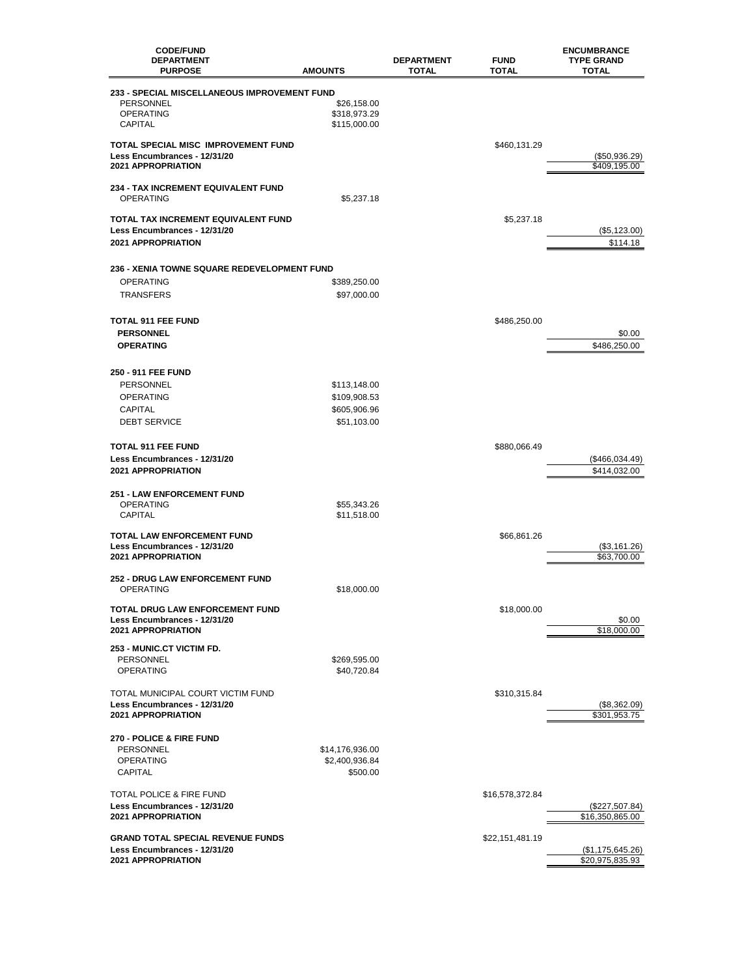| <b>CODE/FUND</b>                                        |                             |                                   |                      | <b>ENCUMBRANCE</b>                |
|---------------------------------------------------------|-----------------------------|-----------------------------------|----------------------|-----------------------------------|
| <b>DEPARTMENT</b><br><b>PURPOSE</b>                     | <b>AMOUNTS</b>              | <b>DEPARTMENT</b><br><b>TOTAL</b> | <b>FUND</b><br>TOTAL | <b>TYPE GRAND</b><br><b>TOTAL</b> |
| 233 - SPECIAL MISCELLANEOUS IMPROVEMENT FUND            |                             |                                   |                      |                                   |
| PERSONNEL                                               | \$26,158.00                 |                                   |                      |                                   |
| <b>OPERATING</b>                                        | \$318,973.29                |                                   |                      |                                   |
| <b>CAPITAL</b>                                          | \$115,000.00                |                                   |                      |                                   |
| TOTAL SPECIAL MISC IMPROVEMENT FUND                     |                             |                                   | \$460,131.29         |                                   |
| Less Encumbrances - 12/31/20                            |                             |                                   |                      | (\$50,936.29)                     |
| 2021 APPROPRIATION                                      |                             |                                   |                      | \$409,195.00                      |
| 234 - TAX INCREMENT EQUIVALENT FUND<br><b>OPERATING</b> | \$5,237.18                  |                                   |                      |                                   |
| TOTAL TAX INCREMENT EQUIVALENT FUND                     |                             |                                   | \$5,237.18           |                                   |
| Less Encumbrances - 12/31/20                            |                             |                                   |                      | (\$5,123.00)                      |
| <b>2021 APPROPRIATION</b>                               |                             |                                   |                      | \$114.18                          |
|                                                         |                             |                                   |                      |                                   |
| 236 - XENIA TOWNE SQUARE REDEVELOPMENT FUND             |                             |                                   |                      |                                   |
| OPERATING                                               | \$389,250.00                |                                   |                      |                                   |
| <b>TRANSFERS</b>                                        | \$97,000.00                 |                                   |                      |                                   |
| <b>TOTAL 911 FEE FUND</b>                               |                             |                                   | \$486,250.00         |                                   |
| <b>PERSONNEL</b>                                        |                             |                                   |                      | \$0.00                            |
| <b>OPERATING</b>                                        |                             |                                   |                      | \$486,250.00                      |
|                                                         |                             |                                   |                      |                                   |
| 250 - 911 FEE FUND                                      |                             |                                   |                      |                                   |
| PERSONNEL                                               | \$113,148.00                |                                   |                      |                                   |
| <b>OPERATING</b>                                        | \$109,908.53                |                                   |                      |                                   |
| <b>CAPITAL</b><br><b>DEBT SERVICE</b>                   | \$605,906.96<br>\$51,103.00 |                                   |                      |                                   |
|                                                         |                             |                                   |                      |                                   |
| <b>TOTAL 911 FEE FUND</b>                               |                             |                                   | \$880,066.49         |                                   |
| Less Encumbrances - 12/31/20                            |                             |                                   |                      | (\$466,034.49)                    |
| 2021 APPROPRIATION                                      |                             |                                   |                      | \$414,032.00                      |
| <b>251 - LAW ENFORCEMENT FUND</b>                       |                             |                                   |                      |                                   |
| <b>OPERATING</b>                                        | \$55,343.26                 |                                   |                      |                                   |
| <b>CAPITAL</b>                                          | \$11,518.00                 |                                   |                      |                                   |
| TOTAL LAW ENFORCEMENT FUND                              |                             |                                   | \$66,861.26          |                                   |
| Less Encumbrances - 12/31/20                            |                             |                                   |                      | (\$3,161.26)                      |
| <b>2021 APPROPRIATION</b>                               |                             |                                   |                      | \$63,700.00                       |
| <b>252 - DRUG LAW ENFORCEMENT FUND</b>                  |                             |                                   |                      |                                   |
| <b>OPERATING</b>                                        | \$18,000.00                 |                                   |                      |                                   |
| TOTAL DRUG LAW ENFORCEMENT FUND                         |                             |                                   | \$18,000.00          |                                   |
| Less Encumbrances - 12/31/20                            |                             |                                   |                      | \$0.00                            |
| 2021 APPROPRIATION                                      |                             |                                   |                      | \$18,000.00                       |
| 253 - MUNIC.CT VICTIM FD.                               |                             |                                   |                      |                                   |
| PERSONNEL                                               | \$269,595.00                |                                   |                      |                                   |
| <b>OPERATING</b>                                        | \$40,720.84                 |                                   |                      |                                   |
| TOTAL MUNICIPAL COURT VICTIM FUND                       |                             |                                   | \$310,315.84         |                                   |
| Less Encumbrances - 12/31/20                            |                             |                                   |                      | (\$8,362.09)                      |
| 2021 APPROPRIATION                                      |                             |                                   |                      | \$301,953.75                      |
| 270 - POLICE & FIRE FUND                                |                             |                                   |                      |                                   |
| PERSONNEL                                               | \$14,176,936.00             |                                   |                      |                                   |
| OPERATING                                               | \$2,400,936.84              |                                   |                      |                                   |
| <b>CAPITAL</b>                                          | \$500.00                    |                                   |                      |                                   |
| TOTAL POLICE & FIRE FUND                                |                             |                                   | \$16,578,372.84      |                                   |
| Less Encumbrances - 12/31/20                            |                             |                                   |                      | (\$227,507.84)                    |
| 2021 APPROPRIATION                                      |                             |                                   |                      | \$16,350,865.00                   |
| <b>GRAND TOTAL SPECIAL REVENUE FUNDS</b>                |                             |                                   | \$22,151,481.19      |                                   |
| Less Encumbrances - 12/31/20                            |                             |                                   |                      | (\$1,175,645.26)                  |
| 2021 APPROPRIATION                                      |                             |                                   |                      | \$20,975,835.93                   |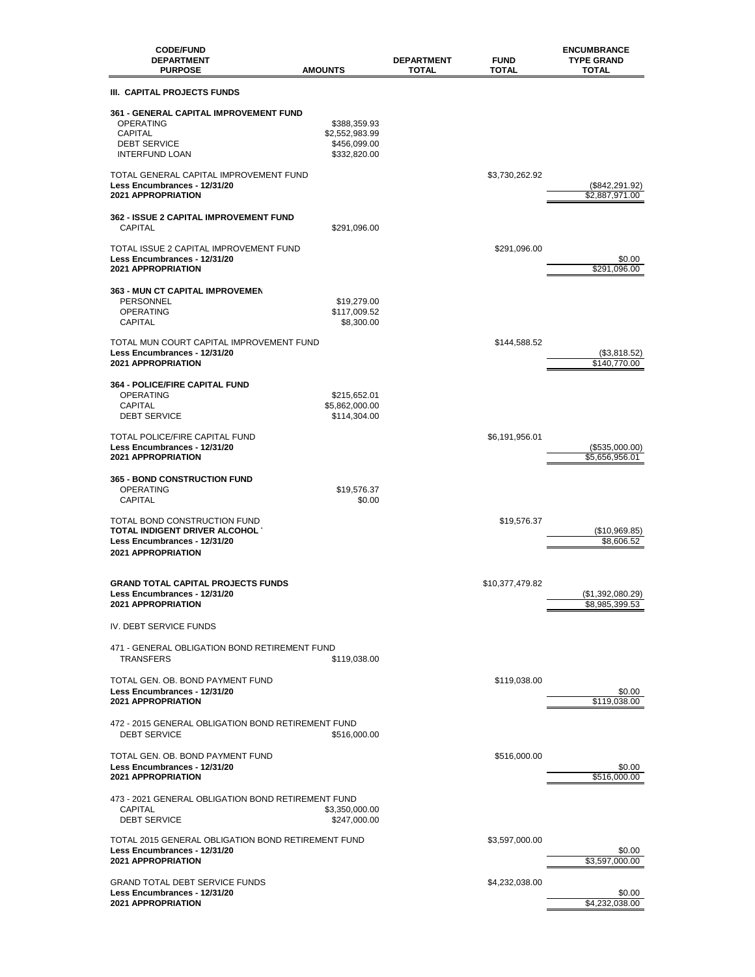| <b>CODE/FUND</b><br><b>DEPARTMENT</b><br><b>PURPOSE</b>                                                                             | <b>AMOUNTS</b>                                                 | <b>FUND</b><br><b>DEPARTMENT</b><br>TOTAL<br><b>TOTAL</b> | <b>ENCUMBRANCE</b><br><b>TYPE GRAND</b><br><b>TOTAL</b> |
|-------------------------------------------------------------------------------------------------------------------------------------|----------------------------------------------------------------|-----------------------------------------------------------|---------------------------------------------------------|
| III. CAPITAL PROJECTS FUNDS                                                                                                         |                                                                |                                                           |                                                         |
| <b>361 - GENERAL CAPITAL IMPROVEMENT FUND</b><br><b>OPERATING</b><br><b>CAPITAL</b><br><b>DEBT SERVICE</b><br><b>INTERFUND LOAN</b> | \$388,359.93<br>\$2,552,983.99<br>\$456,099.00<br>\$332,820.00 |                                                           |                                                         |
| TOTAL GENERAL CAPITAL IMPROVEMENT FUND<br>Less Encumbrances - 12/31/20<br><b>2021 APPROPRIATION</b>                                 |                                                                | \$3,730,262.92                                            | (\$842,291.92)<br>\$2,887,971.00                        |
| <b>362 - ISSUE 2 CAPITAL IMPROVEMENT FUND</b><br><b>CAPITAL</b>                                                                     | \$291,096.00                                                   |                                                           |                                                         |
| TOTAL ISSUE 2 CAPITAL IMPROVEMENT FUND<br>Less Encumbrances - 12/31/20<br>2021 APPROPRIATION                                        |                                                                | \$291,096.00                                              | \$0.00<br>\$291,096.00                                  |
| 363 - MUN CT CAPITAL IMPROVEMEN<br>PERSONNEL<br><b>OPERATING</b><br>CAPITAL                                                         | \$19,279.00<br>\$117,009.52<br>\$8,300.00                      |                                                           |                                                         |
| TOTAL MUN COURT CAPITAL IMPROVEMENT FUND<br>Less Encumbrances - 12/31/20<br>2021 APPROPRIATION                                      |                                                                | \$144,588.52                                              | (\$3,818.52)<br>\$140,770.00                            |
| <b>364 - POLICE/FIRE CAPITAL FUND</b><br><b>OPERATING</b><br>CAPITAL<br><b>DEBT SERVICE</b>                                         | \$215,652.01<br>\$5,862,000.00<br>\$114,304.00                 |                                                           |                                                         |
| TOTAL POLICE/FIRE CAPITAL FUND<br>Less Encumbrances - 12/31/20<br>2021 APPROPRIATION                                                |                                                                | \$6,191,956.01                                            | (\$535,000.00)<br>\$5,656,956.01                        |
| <b>365 - BOND CONSTRUCTION FUND</b><br><b>OPERATING</b><br>CAPITAL                                                                  | \$19,576.37<br>\$0.00                                          |                                                           |                                                         |
| TOTAL BOND CONSTRUCTION FUND<br>TOTAL INDIGENT DRIVER ALCOHOL<br>Less Encumbrances - 12/31/20<br>2021 APPROPRIATION                 |                                                                | \$19,576.37                                               | (\$10,969.85)<br>\$8,606.52                             |
| <b>GRAND TOTAL CAPITAL PROJECTS FUNDS</b><br>Less Encumbrances - 12/31/20<br><b>2021 APPROPRIATION</b>                              |                                                                | \$10,377,479.82                                           | (\$1,392,080.29)<br>\$8,985,399.53                      |
| IV. DEBT SERVICE FUNDS                                                                                                              |                                                                |                                                           |                                                         |
| 471 - GENERAL OBLIGATION BOND RETIREMENT FUND<br><b>TRANSFERS</b>                                                                   | \$119,038.00                                                   |                                                           |                                                         |
| TOTAL GEN. OB. BOND PAYMENT FUND<br>Less Encumbrances - 12/31/20<br>2021 APPROPRIATION                                              |                                                                | \$119,038.00                                              | \$0.00<br>\$119,038.00                                  |
| 472 - 2015 GENERAL OBLIGATION BOND RETIREMENT FUND<br><b>DEBT SERVICE</b>                                                           | \$516,000.00                                                   |                                                           |                                                         |
| TOTAL GEN. OB. BOND PAYMENT FUND<br>Less Encumbrances - 12/31/20<br><b>2021 APPROPRIATION</b>                                       |                                                                | \$516,000.00                                              | \$0.00<br>\$516,000.00                                  |
| 473 - 2021 GENERAL OBLIGATION BOND RETIREMENT FUND<br><b>CAPITAL</b><br><b>DEBT SERVICE</b>                                         | \$3,350,000.00<br>\$247,000.00                                 |                                                           |                                                         |
| TOTAL 2015 GENERAL OBLIGATION BOND RETIREMENT FUND<br>Less Encumbrances - 12/31/20<br>2021 APPROPRIATION                            |                                                                | \$3,597,000.00                                            | \$0.00<br>\$3,597,000.00                                |
| <b>GRAND TOTAL DEBT SERVICE FUNDS</b><br>Less Encumbrances - 12/31/20<br>2021 APPROPRIATION                                         |                                                                | \$4,232,038.00                                            | \$0.00<br>\$4,232,038.00                                |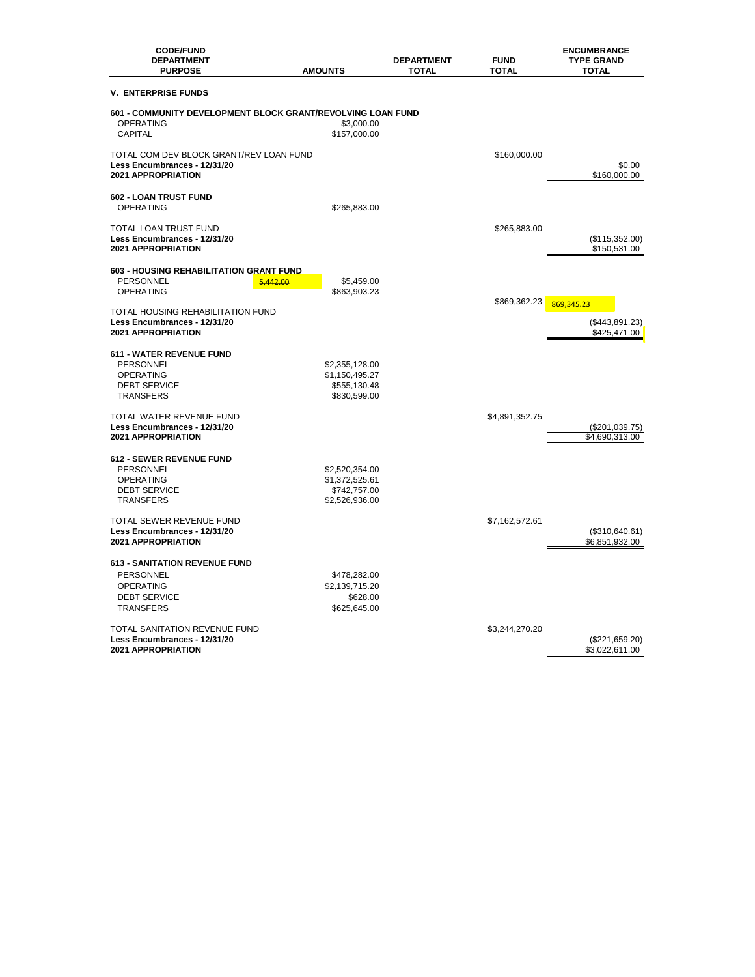| <b>CODE/FUND</b><br><b>DEPARTMENT</b><br><b>PURPOSE</b>                                                                 | <b>AMOUNTS</b>                                                     | <b>DEPARTMENT</b><br><b>TOTAL</b> | <b>FUND</b><br>TOTAL | <b>ENCUMBRANCE</b><br><b>TYPE GRAND</b><br><b>TOTAL</b> |
|-------------------------------------------------------------------------------------------------------------------------|--------------------------------------------------------------------|-----------------------------------|----------------------|---------------------------------------------------------|
| <b>V. ENTERPRISE FUNDS</b>                                                                                              |                                                                    |                                   |                      |                                                         |
| 601 - COMMUNITY DEVELOPMENT BLOCK GRANT/REVOLVING LOAN FUND<br><b>OPERATING</b><br><b>CAPITAL</b>                       | \$3,000.00<br>\$157,000.00                                         |                                   |                      |                                                         |
| TOTAL COM DEV BLOCK GRANT/REV LOAN FUND<br>Less Encumbrances - 12/31/20<br><b>2021 APPROPRIATION</b>                    |                                                                    |                                   | \$160,000.00         | \$0.00<br>\$160,000.00                                  |
| 602 - LOAN TRUST FUND<br><b>OPERATING</b>                                                                               | \$265,883.00                                                       |                                   |                      |                                                         |
| TOTAL LOAN TRUST FUND<br>Less Encumbrances - 12/31/20<br>2021 APPROPRIATION                                             |                                                                    |                                   | \$265,883.00         | (\$115,352.00)<br>\$150,531.00                          |
| 603 - HOUSING REHABILITATION GRANT FUND<br>PERSONNEL<br>5,442.00<br><b>OPERATING</b>                                    | \$5,459.00<br>\$863,903.23                                         |                                   | \$869,362.23         | 869,345.23                                              |
| TOTAL HOUSING REHABILITATION FUND<br>Less Encumbrances - 12/31/20<br><b>2021 APPROPRIATION</b>                          |                                                                    |                                   |                      | (\$443,891.23)<br>\$425,471.00                          |
| 611 - WATER REVENUE FUND<br><b>PERSONNEL</b><br><b>OPERATING</b><br><b>DEBT SERVICE</b><br><b>TRANSFERS</b>             | \$2,355,128.00<br>\$1,150,495.27<br>\$555,130.48<br>\$830,599.00   |                                   |                      |                                                         |
| TOTAL WATER REVENUE FUND<br>Less Encumbrances - 12/31/20<br><b>2021 APPROPRIATION</b>                                   |                                                                    |                                   | \$4,891,352.75       | (\$201,039.75)<br>\$4,690,313.00                        |
| 612 - SEWER REVENUE FUND<br>PERSONNEL<br><b>OPERATING</b><br><b>DEBT SERVICE</b><br><b>TRANSFERS</b>                    | \$2,520,354.00<br>\$1,372,525.61<br>\$742,757.00<br>\$2,526,936.00 |                                   |                      |                                                         |
| TOTAL SEWER REVENUE FUND<br>Less Encumbrances - 12/31/20<br>2021 APPROPRIATION                                          |                                                                    |                                   | \$7,162,572.61       | (\$310,640.61)<br>\$6,851,932.00                        |
| <b>613 - SANITATION REVENUE FUND</b><br><b>PERSONNEL</b><br><b>OPERATING</b><br><b>DEBT SERVICE</b><br><b>TRANSFERS</b> | \$478,282.00<br>\$2,139,715.20<br>\$628.00<br>\$625,645.00         |                                   |                      |                                                         |
| TOTAL SANITATION REVENUE FUND<br>Less Encumbrances - 12/31/20<br><b>2021 APPROPRIATION</b>                              |                                                                    |                                   | \$3,244,270.20       | (\$221,659.20)<br>\$3,022,611.00                        |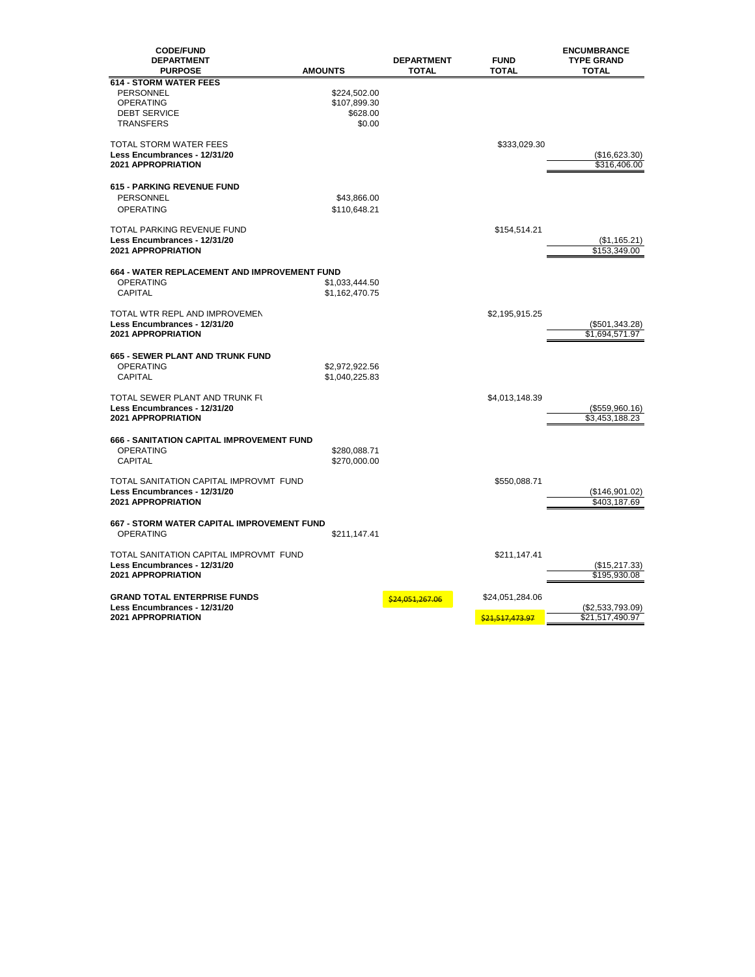| <b>CODE/FUND</b><br><b>DEPARTMENT</b><br><b>PURPOSE</b> | <b>AMOUNTS</b> | <b>DEPARTMENT</b><br><b>TOTAL</b> | <b>FUND</b><br><b>TOTAL</b> | <b>ENCUMBRANCE</b><br><b>TYPE GRAND</b><br><b>TOTAL</b> |
|---------------------------------------------------------|----------------|-----------------------------------|-----------------------------|---------------------------------------------------------|
| <b>614 - STORM WATER FEES</b>                           |                |                                   |                             |                                                         |
| <b>PERSONNEL</b>                                        | \$224,502.00   |                                   |                             |                                                         |
| <b>OPERATING</b>                                        | \$107,899.30   |                                   |                             |                                                         |
| <b>DEBT SERVICE</b>                                     | \$628.00       |                                   |                             |                                                         |
| <b>TRANSFERS</b>                                        | \$0.00         |                                   |                             |                                                         |
|                                                         |                |                                   |                             |                                                         |
| <b>TOTAL STORM WATER FEES</b>                           |                |                                   | \$333,029.30                |                                                         |
| Less Encumbrances - 12/31/20                            |                |                                   |                             | (\$16,623.30)                                           |
| <b>2021 APPROPRIATION</b>                               |                |                                   |                             | \$316,406.00                                            |
|                                                         |                |                                   |                             |                                                         |
| <b>615 - PARKING REVENUE FUND</b>                       |                |                                   |                             |                                                         |
| PERSONNEL                                               | \$43,866.00    |                                   |                             |                                                         |
| <b>OPERATING</b>                                        | \$110,648.21   |                                   |                             |                                                         |
|                                                         |                |                                   |                             |                                                         |
| <b>TOTAL PARKING REVENUE FUND</b>                       |                |                                   | \$154,514.21                |                                                         |
| Less Encumbrances - 12/31/20                            |                |                                   |                             | (\$1,165.21)                                            |
| <b>2021 APPROPRIATION</b>                               |                |                                   |                             | \$153,349.00                                            |
| 664 - WATER REPLACEMENT AND IMPROVEMENT FUND            |                |                                   |                             |                                                         |
| <b>OPERATING</b>                                        | \$1,033,444.50 |                                   |                             |                                                         |
| <b>CAPITAL</b>                                          | \$1,162,470.75 |                                   |                             |                                                         |
|                                                         |                |                                   |                             |                                                         |
| TOTAL WTR REPL AND IMPROVEMEN                           |                |                                   | \$2,195,915.25              |                                                         |
| Less Encumbrances - 12/31/20                            |                |                                   |                             | (\$501,343.28)                                          |
| <b>2021 APPROPRIATION</b>                               |                |                                   |                             | \$1,694,571.97                                          |
|                                                         |                |                                   |                             |                                                         |
| <b>665 - SEWER PLANT AND TRUNK FUND</b>                 |                |                                   |                             |                                                         |
| <b>OPERATING</b>                                        | \$2,972,922.56 |                                   |                             |                                                         |
| <b>CAPITAL</b>                                          | \$1,040,225.83 |                                   |                             |                                                         |
|                                                         |                |                                   |                             |                                                         |
| TOTAL SEWER PLANT AND TRUNK FI                          |                |                                   | \$4,013,148.39              |                                                         |
| Less Encumbrances - 12/31/20                            |                |                                   |                             | (\$559,960.16)                                          |
| <b>2021 APPROPRIATION</b>                               |                |                                   |                             | \$3,453,188.23                                          |
|                                                         |                |                                   |                             |                                                         |
| 666 - SANITATION CAPITAL IMPROVEMENT FUND               |                |                                   |                             |                                                         |
| <b>OPERATING</b>                                        | \$280,088.71   |                                   |                             |                                                         |
| <b>CAPITAL</b>                                          | \$270,000.00   |                                   |                             |                                                         |
| TOTAL SANITATION CAPITAL IMPROVMT FUND                  |                |                                   | \$550,088.71                |                                                         |
| Less Encumbrances - 12/31/20                            |                |                                   |                             | (\$146,901.02)                                          |
| 2021 APPROPRIATION                                      |                |                                   |                             | \$403,187.69                                            |
|                                                         |                |                                   |                             |                                                         |
| 667 - STORM WATER CAPITAL IMPROVEMENT FUND              |                |                                   |                             |                                                         |
| <b>OPERATING</b>                                        | \$211,147.41   |                                   |                             |                                                         |
|                                                         |                |                                   |                             |                                                         |
| TOTAL SANITATION CAPITAL IMPROVMT FUND                  |                |                                   | \$211,147.41                |                                                         |
| Less Encumbrances - 12/31/20                            |                |                                   |                             | (\$15,217.33)                                           |
| <b>2021 APPROPRIATION</b>                               |                |                                   |                             | \$195,930.08                                            |
|                                                         |                |                                   |                             |                                                         |
| <b>GRAND TOTAL ENTERPRISE FUNDS</b>                     |                | <mark>\$24,051,267.06</mark>      | \$24,051,284.06             |                                                         |
| Less Encumbrances - 12/31/20                            |                |                                   |                             | $(\$2,533,793.09)$                                      |
| <b>2021 APPROPRIATION</b>                               |                |                                   | \$21.517.473.97             | \$21,517,490.97                                         |